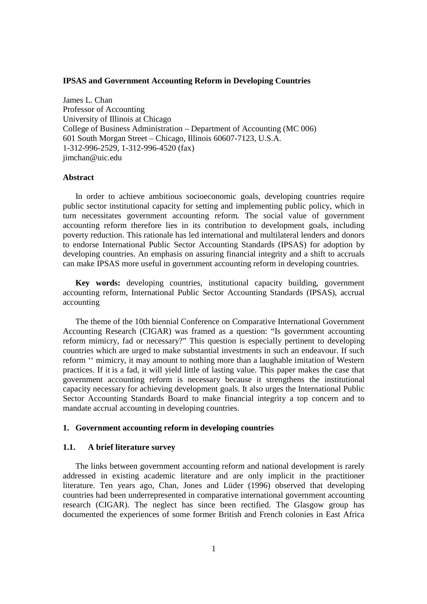## **IPSAS and Government Accounting Reform in Developing Countries**

 James L. Chan Professor of Accounting University of Illinois at Chicago College of Business Administration – Department of Accounting (MC 006) 601 South Morgan Street – Chicago, Illinois 60607-7123, U.S.A. 1-312-996-2529, 1-312-996-4520 (fax) jimchan@uic.edu

# **Abstract**

 In order to achieve ambitious socioeconomic goals, developing countries require public sector institutional capacity for setting and implementing public policy, which in turn necessitates government accounting reform. The social value of government accounting reform therefore lies in its contribution to development goals, including poverty reduction. This rationale has led international and multilateral lenders and donors to endorse International Public Sector Accounting Standards (IPSAS) for adoption by developing countries. An emphasis on assuring financial integrity and a shift to accruals can make IPSAS more useful in government accounting reform in developing countries.

 **Key words:** developing countries, institutional capacity building, government accounting reform, International Public Sector Accounting Standards (IPSAS), accrual accounting

 The theme of the 10th biennial Conference on Comparative International Government Accounting Research (CIGAR) was framed as a question: "Is government accounting reform mimicry, fad or necessary?" This question is especially pertinent to developing countries which are urged to make substantial investments in such an endeavour. If such reform '' mimicry, it may amount to nothing more than a laughable imitation of Western practices. If it is a fad, it will yield little of lasting value. This paper makes the case that government accounting reform is necessary because it strengthens the institutional capacity necessary for achieving development goals. It also urges the International Public Sector Accounting Standards Board to make financial integrity a top concern and to mandate accrual accounting in developing countries.

## **1. Government accounting reform in developing countries**

#### $1.1.$ **1.1. A brief literature survey**

 The links between government accounting reform and national development is rarely addressed in existing academic literature and are only implicit in the practitioner literature. Ten years ago, Chan, Jones and Lüder (1996) observed that developing countries had been underrepresented in comparative international government accounting research (CIGAR). The neglect has since been rectified. The Glasgow group has documented the experiences of some former British and French colonies in East Africa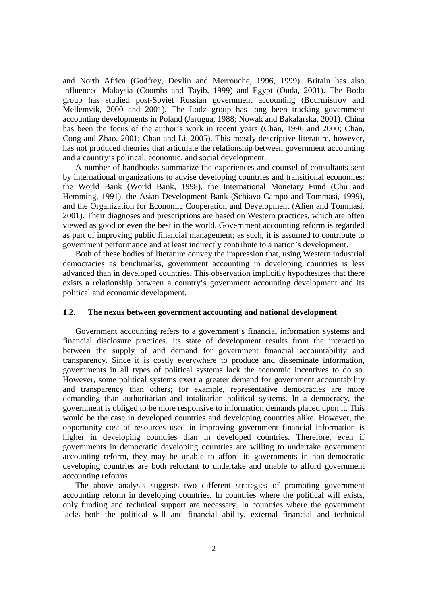and North Africa (Godfrey, Devlin and Merrouche, 1996, 1999). Britain has also influenced Malaysia (Coombs and Tayib, 1999) and Egypt (Ouda, 2001). The Bodo group has studied post-Soviet Russian government accounting (Bourmistrov and Mellemvik, 2000 and 2001). The Lodz group has long been tracking government accounting developments in Poland (Jarugua, 1988; Nowak and Bakalarska, 2001). China has been the focus of the author's work in recent years (Chan, 1996 and 2000; Chan, Cong and Zhao, 2001; Chan and Li, 2005). This mostly descriptive literature, however, has not produced theories that articulate the relationship between government accounting and a country's political, economic, and social development.

 A number of handbooks summarize the experiences and counsel of consultants sent by international organizations to advise developing countries and transitional economies: the World Bank (World Bank, 1998), the International Monetary Fund (Chu and Hemming, 1991), the Asian Development Bank (Schiavo-Campo and Tommasi, 1999), and the Organization for Economic Cooperation and Development (Alien and Tommasi, 2001). Their diagnoses and prescriptions are based on Western practices, which are often viewed as good or even the best in the world. Government accounting reform is regarded as part of improving public financial management; as such, it is assumed to contribute to government performance and at least indirectly contribute to a nation's development.

 Both of these bodies of literature convey the impression that, using Western industrial democracies as benchmarks, government accounting in developing countries is less advanced than in developed countries. This observation implicitly hypothesizes that there exists a relationship between a country's government accounting development and its political and economic development.

#### $1.2.$ **1.2. The nexus between government accounting and national development**

 Government accounting refers to a government's financial information systems and financial disclosure practices. Its state of development results from the interaction between the supply of and demand for government financial accountability and transparency. Since it is costly everywhere to produce and disseminate information, governments in all types of political systems lack the economic incentives to do so. However, some political systems exert a greater demand for government accountability and transparency than others; for example, representative democracies are more demanding than authoritarian and totalitarian political systems. In a democracy, the government is obliged to be more responsive to information demands placed upon it. This would be the case in developed countries and developing countries alike. However, the opportunity cost of resources used in improving government financial information is higher in developing countries than in developed countries. Therefore, even if governments in democratic developing countries are willing to undertake government accounting reform, they may be unable to afford it; governments in non-democratic developing countries are both reluctant to undertake and unable to afford government accounting reforms.

 The above analysis suggests two different strategies of promoting government accounting reform in developing countries. In countries where the political will exists, only funding and technical support are necessary. In countries where the government lacks both the political will and financial ability, external financial and technical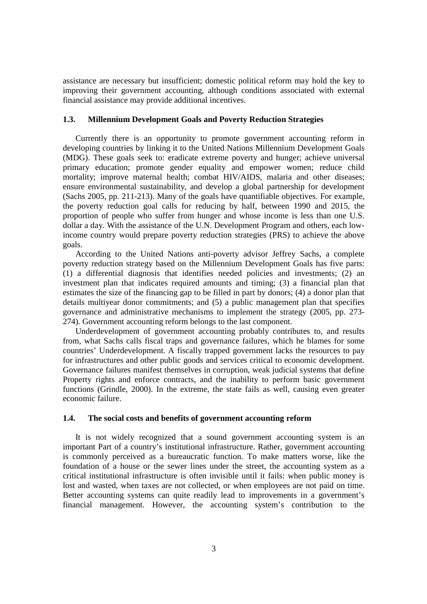assistance are necessary but insufficient; domestic political reform may hold the key to improving their government accounting, although conditions associated with external financial assistance may provide additional incentives.

## **1.3. Millennium Development Goals and Poverty Reduction Strategies**

 Currently there is an opportunity to promote government accounting reform in developing countries by linking it to the United Nations Millennium Development Goals (MDG). These goals seek to: eradicate extreme poverty and hunger; achieve universal primary education; promote gender equality and empower women; reduce child mortality; improve maternal health; combat HIV/AIDS, malaria and other diseases; ensure environmental sustainability, and develop a global partnership for development (Sachs 2005, pp. 211-213). Many of the goals have quantifiable objectives. For example, the poverty reduction goal calls for reducing by half, between 1990 and 2015, the proportion of people who suffer from hunger and whose income is less than one U.S. dollar a day. With the assistance of the U.N. Development Program and others, each low- income country would prepare poverty reduction strategies (PRS) to achieve the above goals.

 According to the United Nations anti-poverty advisor Jeffrey Sachs, a complete poverty reduction strategy based on the Millennium Development Goals has five parts: (1) a differential diagnosis that identifies needed policies and investments; (2) an investment plan that indicates required amounts and timing; (3) a financial plan that estimates the size of the financing gap to be filled in part by donors; (4) a donor plan that details multiyear donor commitments; and (5) a public management plan that specifies governance and administrative mechanisms to implement the strategy (2005, pp. 273- 274). Government accounting reform belongs to the last component.

 Underdevelopment of government accounting probably contributes to, and results from, what Sachs calls fiscal traps and governance failures, which he blames for some countries' Underdevelopment. A fiscally trapped government lacks the resources to pay for infrastructures and other public goods and services critical to economic development. Governance failures manifest themselves in corruption, weak judicial systems that define Property rights and enforce contracts, and the inability to perform basic government functions (Grindle, 2000). In the extreme, the state fails as well, causing even greater economic failure.

#### $1.4.$ **1.4. The social costs and benefits of government accounting reform**

 It is not widely recognized that a sound government accounting system is an important Part of a country's institutional infrastructure. Rather, government accounting is commonly perceived as a bureaucratic function. To make matters worse, like the foundation of a house or the sewer lines under the street, the accounting system as a critical institutional infrastructure is often invisible until it fails: when public money is lost and wasted, when taxes are not collected, or when employees are not paid on time. Better accounting systems can quite readily lead to improvements in a government's financial management. However, the accounting system's contribution to the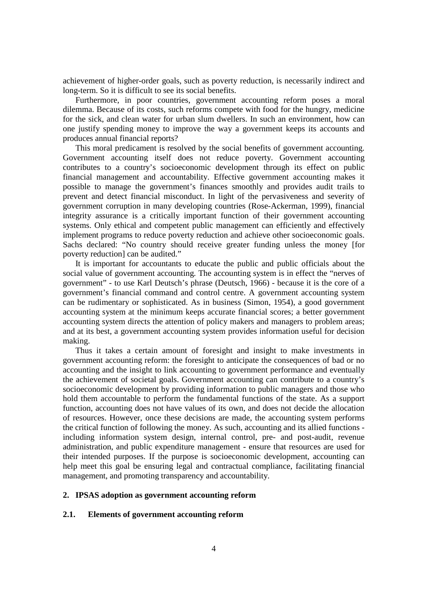achievement of higher-order goals, such as poverty reduction, is necessarily indirect and long-term. So it is difficult to see its social benefits.

 Furthermore, in poor countries, government accounting reform poses a moral dilemma. Because of its costs, such reforms compete with food for the hungry, medicine for the sick, and clean water for urban slum dwellers. In such an environment, how can one justify spending money to improve the way a government keeps its accounts and produces annual financial reports?

 This moral predicament is resolved by the social benefits of government accounting. Government accounting itself does not reduce poverty. Government accounting contributes to a country's socioeconomic development through its effect on public financial management and accountability. Effective government accounting makes it possible to manage the government's finances smoothly and provides audit trails to prevent and detect financial misconduct. In light of the pervasiveness and severity of government corruption in many developing countries (Rose-Ackerman, 1999), financial integrity assurance is a critically important function of their government accounting systems. Only ethical and competent public management can efficiently and effectively implement programs to reduce poverty reduction and achieve other socioeconomic goals. Sachs declared: "No country should receive greater funding unless the money [for poverty reduction] can be audited."

 It is important for accountants to educate the public and public officials about the social value of government accounting. The accounting system is in effect the "nerves of government" - to use Karl Deutsch's phrase (Deutsch, 1966) - because it is the core of a government's financial command and control centre. A government accounting system can be rudimentary or sophisticated. As in business (Simon, 1954), a good government accounting system at the minimum keeps accurate financial scores; a better government accounting system directs the attention of policy makers and managers to problem areas; and at its best, a government accounting system provides information useful for decision making.

 Thus it takes a certain amount of foresight and insight to make investments in government accounting reform: the foresight to anticipate the consequences of bad or no accounting and the insight to link accounting to government performance and eventually the achievement of societal goals. Government accounting can contribute to a country's socioeconomic development by providing information to public managers and those who hold them accountable to perform the fundamental functions of the state. As a support function, accounting does not have values of its own, and does not decide the allocation of resources. However, once these decisions are made, the accounting system performs the critical function of following the money. As such, accounting and its allied functions - including information system design, internal control, pre- and post-audit, revenue administration, and public expenditure management - ensure that resources are used for their intended purposes. If the purpose is socioeconomic development, accounting can help meet this goal be ensuring legal and contractual compliance, facilitating financial management, and promoting transparency and accountability.

## **2. IPSAS adoption as government accounting reform**

## **2.1. Elements of government accounting reform**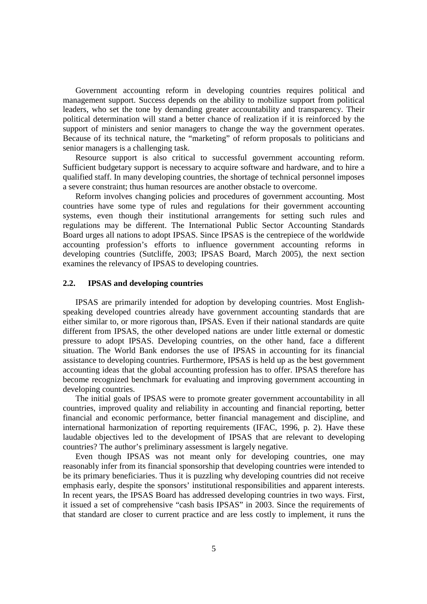Government accounting reform in developing countries requires political and management support. Success depends on the ability to mobilize support from political leaders, who set the tone by demanding greater accountability and transparency. Their political determination will stand a better chance of realization if it is reinforced by the support of ministers and senior managers to change the way the government operates. Because of its technical nature, the "marketing" of reform proposals to politicians and senior managers is a challenging task.

 Resource support is also critical to successful government accounting reform. Sufficient budgetary support is necessary to acquire software and hardware, and to hire a qualified staff. In many developing countries, the shortage of technical personnel imposes a severe constraint; thus human resources are another obstacle to overcome.

 Reform involves changing policies and procedures of government accounting. Most countries have some type of rules and regulations for their government accounting systems, even though their institutional arrangements for setting such rules and regulations may be different. The International Public Sector Accounting Standards Board urges all nations to adopt IPSAS. Since IPSAS is the centrepiece of the worldwide accounting profession's efforts to influence government accounting reforms in developing countries (Sutcliffe, 2003; IPSAS Board, March 2005), the next section examines the relevancy of IPSAS to developing countries.

#### $2.2.$ **2.2. IPSAS and developing countries**

 IPSAS are primarily intended for adoption by developing countries. Most English- speaking developed countries already have government accounting standards that are either similar to, or more rigorous than, IPSAS. Even if their national standards are quite different from IPSAS, the other developed nations are under little external or domestic pressure to adopt IPSAS. Developing countries, on the other hand, face a different situation. The World Bank endorses the use of IPSAS in accounting for its financial assistance to developing countries. Furthermore, IPSAS is held up as the best government accounting ideas that the global accounting profession has to offer. IPSAS therefore has become recognized benchmark for evaluating and improving government accounting in developing countries.

 The initial goals of IPSAS were to promote greater government accountability in all countries, improved quality and reliability in accounting and financial reporting, better financial and economic performance, better financial management and discipline, and international harmonization of reporting requirements (IFAC, 1996, p. 2). Have these laudable objectives led to the development of IPSAS that are relevant to developing countries? The author's preliminary assessment is largely negative.

 Even though IPSAS was not meant only for developing countries, one may reasonably infer from its financial sponsorship that developing countries were intended to be its primary beneficiaries. Thus it is puzzling why developing countries did not receive emphasis early, despite the sponsors' institutional responsibilities and apparent interests. In recent years, the IPSAS Board has addressed developing countries in two ways. First, it issued a set of comprehensive "cash basis IPSAS" in 2003. Since the requirements of that standard are closer to current practice and are less costly to implement, it runs the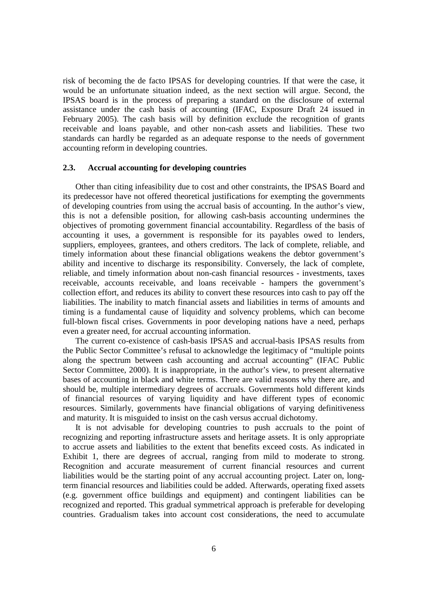risk of becoming the de facto IPSAS for developing countries. If that were the case, it would be an unfortunate situation indeed, as the next section will argue. Second, the IPSAS board is in the process of preparing a standard on the disclosure of external assistance under the cash basis of accounting (IFAC, Exposure Draft 24 issued in February 2005). The cash basis will by definition exclude the recognition of grants receivable and loans payable, and other non-cash assets and liabilities. These two standards can hardly be regarded as an adequate response to the needs of government accounting reform in developing countries.

#### $2.3.$ **2.3. Accrual accounting for developing countries**

 Other than citing infeasibility due to cost and other constraints, the IPSAS Board and its predecessor have not offered theoretical justifications for exempting the governments of developing countries from using the accrual basis of accounting. In the author's view, this is not a defensible position, for allowing cash-basis accounting undermines the objectives of promoting government financial accountability. Regardless of the basis of accounting it uses, a government is responsible for its payables owed to lenders, suppliers, employees, grantees, and others creditors. The lack of complete, reliable, and timely information about these financial obligations weakens the debtor government's ability and incentive to discharge its responsibility. Conversely, the lack of complete, reliable, and timely information about non-cash financial resources - investments, taxes receivable, accounts receivable, and loans receivable - hampers the government's collection effort, and reduces its ability to convert these resources into cash to pay off the liabilities. The inability to match financial assets and liabilities in terms of amounts and timing is a fundamental cause of liquidity and solvency problems, which can become full-blown fiscal crises. Governments in poor developing nations have a need, perhaps even a greater need, for accrual accounting information.

 The current co-existence of cash-basis IPSAS and accrual-basis IPSAS results from the Public Sector Committee's refusal to acknowledge the legitimacy of "multiple points along the spectrum between cash accounting and accrual accounting" (IFAC Public Sector Committee, 2000). It is inappropriate, in the author's view, to present alternative bases of accounting in black and white terms. There are valid reasons why there are, and should be, multiple intermediary degrees of accruals. Governments hold different kinds of financial resources of varying liquidity and have different types of economic resources. Similarly, governments have financial obligations of varying definitiveness and maturity. It is misguided to insist on the cash versus accrual dichotomy.

 It is not advisable for developing countries to push accruals to the point of recognizing and reporting infrastructure assets and heritage assets. It is only appropriate to accrue assets and liabilities to the extent that benefits exceed costs. As indicated in Exhibit 1, there are degrees of accrual, ranging from mild to moderate to strong. Recognition and accurate measurement of current financial resources and current liabilities would be the starting point of any accrual accounting project. Later on, long- term financial resources and liabilities could be added. Afterwards, operating fixed assets (e.g. government office buildings and equipment) and contingent liabilities can be recognized and reported. This gradual symmetrical approach is preferable for developing countries. Gradualism takes into account cost considerations, the need to accumulate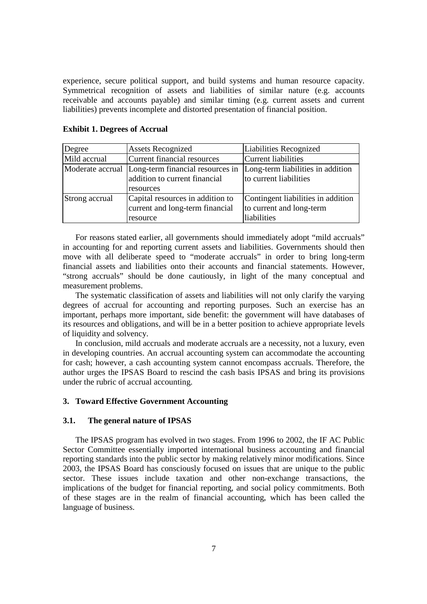experience, secure political support, and build systems and human resource capacity. Symmetrical recognition of assets and liabilities of similar nature (e.g. accounts receivable and accounts payable) and similar timing (e.g. current assets and current liabilities) prevents incomplete and distorted presentation of financial position.

| Degree         | <b>Assets Recognized</b>                                                                        | Liabilities Recognized                                                        |
|----------------|-------------------------------------------------------------------------------------------------|-------------------------------------------------------------------------------|
| Mild accrual   | Current financial resources                                                                     | Current liabilities                                                           |
|                | Moderate accrual Long-term financial resources in<br>addition to current financial<br>resources | Long-term liabilities in addition<br>to current liabilities                   |
| Strong accrual | Capital resources in addition to<br>current and long-term financial<br>resource                 | Contingent liabilities in addition<br>to current and long-term<br>liabilities |

## **Exhibit 1. Degrees of Accrual**

 For reasons stated earlier, all governments should immediately adopt "mild accruals" in accounting for and reporting current assets and liabilities. Governments should then move with all deliberate speed to "moderate accruals" in order to bring long-term financial assets and liabilities onto their accounts and financial statements. However, "strong accruals" should be done cautiously, in light of the many conceptual and measurement problems.

 The systematic classification of assets and liabilities will not only clarify the varying degrees of accrual for accounting and reporting purposes. Such an exercise has an important, perhaps more important, side benefit: the government will have databases of its resources and obligations, and will be in a better position to achieve appropriate levels of liquidity and solvency.

 In conclusion, mild accruals and moderate accruals are a necessity, not a luxury, even in developing countries. An accrual accounting system can accommodate the accounting for cash; however, a cash accounting system cannot encompass accruals. Therefore, the author urges the IPSAS Board to rescind the cash basis IPSAS and bring its provisions under the rubric of accrual accounting.

## **3. Toward Effective Government Accounting**

#### $3.1.$ **3.1. The general nature of IPSAS**

 The IPSAS program has evolved in two stages. From 1996 to 2002, the IF AC Public Sector Committee essentially imported international business accounting and financial reporting standards into the public sector by making relatively minor modifications. Since 2003, the IPSAS Board has consciously focused on issues that are unique to the public sector. These issues include taxation and other non-exchange transactions, the implications of the budget for financial reporting, and social policy commitments. Both of these stages are in the realm of financial accounting, which has been called the language of business.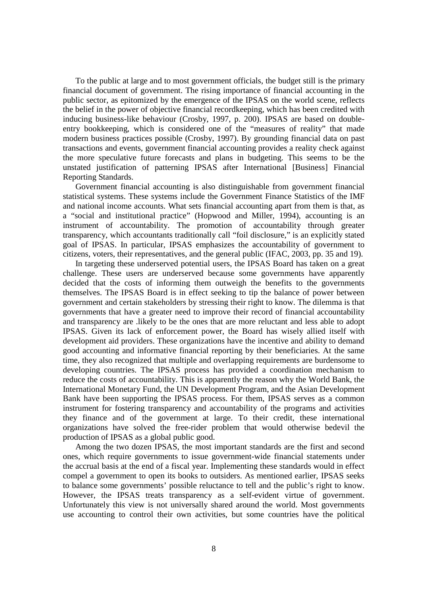To the public at large and to most government officials, the budget still is the primary financial document of government. The rising importance of financial accounting in the public sector, as epitomized by the emergence of the IPSAS on the world scene, reflects the belief in the power of objective financial recordkeeping, which has been credited with inducing business-like behaviour (Crosby, 1997, p. 200). IPSAS are based on double- entry bookkeeping, which is considered one of the "measures of reality" that made modern business practices possible (Crosby, 1997). By grounding financial data on past transactions and events, government financial accounting provides a reality check against the more speculative future forecasts and plans in budgeting. This seems to be the unstated justification of patterning IPSAS after International [Business] Financial Reporting Standards.

 Government financial accounting is also distinguishable from government financial statistical systems. These systems include the Government Finance Statistics of the IMF and national income accounts. What sets financial accounting apart from them is that, as a "social and institutional practice" (Hopwood and Miller, 1994), accounting is an instrument of accountability. The promotion of accountability through greater transparency, which accountants traditionally call "foil disclosure," is an explicitly stated goal of IPSAS. In particular, IPSAS emphasizes the accountability of government to citizens, voters, their representatives, and the general public (IFAC, 2003, pp. 35 and 19).

 In targeting these underserved potential users, the IPSAS Board has taken on a great challenge. These users are underserved because some governments have apparently decided that the costs of informing them outweigh the benefits to the governments themselves. The IPSAS Board is in effect seeking to tip the balance of power between government and certain stakeholders by stressing their right to know. The dilemma is that governments that have a greater need to improve their record of financial accountability and transparency are .likely to be the ones that are more reluctant and less able to adopt IPSAS. Given its lack of enforcement power, the Board has wisely allied itself with development aid providers. These organizations have the incentive and ability to demand good accounting and informative financial reporting by their beneficiaries. At the same time, they also recognized that multiple and overlapping requirements are burdensome to developing countries. The IPSAS process has provided a coordination mechanism to reduce the costs of accountability. This is apparently the reason why the World Bank, the International Monetary Fund, the UN Development Program, and the Asian Development Bank have been supporting the IPSAS process. For them, IPSAS serves as a common instrument for fostering transparency and accountability of the programs and activities they finance and of the government at large. To their credit, these international organizations have solved the free-rider problem that would otherwise bedevil the production of IPSAS as a global public good.

 Among the two dozen IPSAS, the most important standards are the first and second ones, which require governments to issue government-wide financial statements under the accrual basis at the end of a fiscal year. Implementing these standards would in effect compel a government to open its books to outsiders. As mentioned earlier, IPSAS seeks to balance some governments' possible reluctance to tell and the public's right to know. However, the IPSAS treats transparency as a self-evident virtue of government. Unfortunately this view is not universally shared around the world. Most governments use accounting to control their own activities, but some countries have the political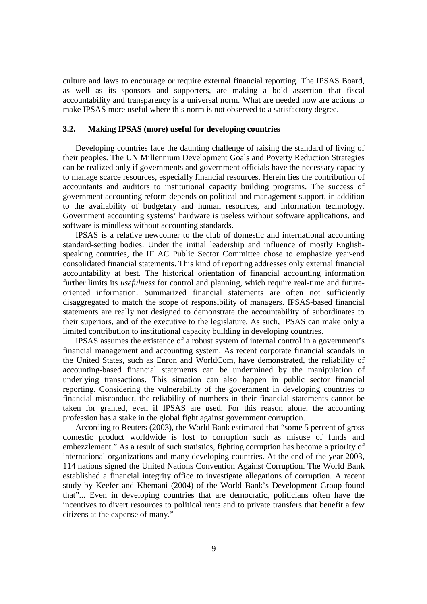culture and laws to encourage or require external financial reporting. The IPSAS Board, as well as its sponsors and supporters, are making a bold assertion that fiscal accountability and transparency is a universal norm. What are needed now are actions to make IPSAS more useful where this norm is not observed to a satisfactory degree.

#### $3.2.$ **3.2. Making IPSAS (more) useful for developing countries**

 Developing countries face the daunting challenge of raising the standard of living of their peoples. The UN Millennium Development Goals and Poverty Reduction Strategies can be realized only if governments and government officials have the necessary capacity to manage scarce resources, especially financial resources. Herein lies the contribution of accountants and auditors to institutional capacity building programs. The success of government accounting reform depends on political and management support, in addition to the availability of budgetary and human resources, and information technology. Government accounting systems' hardware is useless without software applications, and software is mindless without accounting standards.

 IPSAS is a relative newcomer to the club of domestic and international accounting standard-setting bodies. Under the initial leadership and influence of mostly English- speaking countries, the IF AC Public Sector Committee chose to emphasize year-end consolidated financial statements. This kind of reporting addresses only external financial accountability at best. The historical orientation of financial accounting information further limits its *usefulness* for control and planning, which require real-time and future- oriented information. Summarized financial statements are often not sufficiently disaggregated to match the scope of responsibility of managers. IPSAS-based financial statements are really not designed to demonstrate the accountability of subordinates to their superiors, and of the executive to the legislature. As such, IPSAS can make only a limited contribution to institutional capacity building in developing countries.

 IPSAS assumes the existence of a robust system of internal control in a government's financial management and accounting system. As recent corporate financial scandals in the United States, such as Enron and WorldCom, have demonstrated, the reliability of accounting-based financial statements can be undermined by the manipulation of underlying transactions. This situation can also happen in public sector financial reporting. Considering the vulnerability of the government in developing countries to financial misconduct, the reliability of numbers in their financial statements cannot be taken for granted, even if IPSAS are used. For this reason alone, the accounting profession has a stake in the global fight against government corruption.

 According to Reuters (2003), the World Bank estimated that "some 5 percent of gross domestic product worldwide is lost to corruption such as misuse of funds and embezzlement." As a result of such statistics, fighting corruption has become a priority of international organizations and many developing countries. At the end of the year 2003, 114 nations signed the United Nations Convention Against Corruption. The World Bank established a financial integrity office to investigate allegations of corruption. A recent study by Keefer and Khemani (2004) of the World Bank's Development Group found that"... Even in developing countries that are democratic, politicians often have the incentives to divert resources to political rents and to private transfers that benefit a few citizens at the expense of many."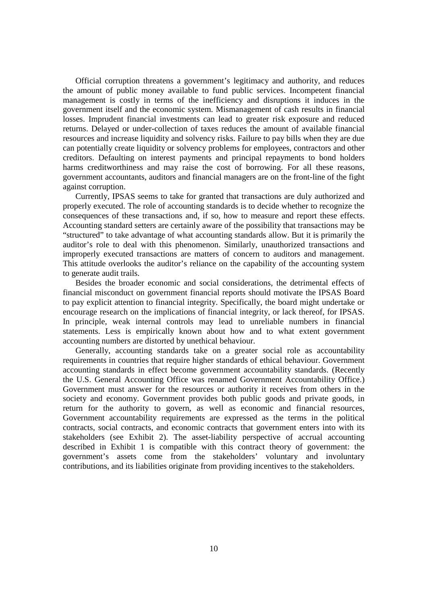Official corruption threatens a government's legitimacy and authority, and reduces the amount of public money available to fund public services. Incompetent financial management is costly in terms of the inefficiency and disruptions it induces in the government itself and the economic system. Mismanagement of cash results in financial losses. Imprudent financial investments can lead to greater risk exposure and reduced returns. Delayed or under-collection of taxes reduces the amount of available financial resources and increase liquidity and solvency risks. Failure to pay bills when they are due can potentially create liquidity or solvency problems for employees, contractors and other creditors. Defaulting on interest payments and principal repayments to bond holders harms creditworthiness and may raise the cost of borrowing. For all these reasons, government accountants, auditors and financial managers are on the front-line of the fight against corruption.

 Currently, IPSAS seems to take for granted that transactions are duly authorized and properly executed. The role of accounting standards is to decide whether to recognize the consequences of these transactions and, if so, how to measure and report these effects. Accounting standard setters are certainly aware of the possibility that transactions may be "structured" to take advantage of what accounting standards allow. But it is primarily the auditor's role to deal with this phenomenon. Similarly, unauthorized transactions and improperly executed transactions are matters of concern to auditors and management. This attitude overlooks the auditor's reliance on the capability of the accounting system to generate audit trails.

 Besides the broader economic and social considerations, the detrimental effects of financial misconduct on government financial reports should motivate the IPSAS Board to pay explicit attention to financial integrity. Specifically, the board might undertake or encourage research on the implications of financial integrity, or lack thereof, for IPSAS. In principle, weak internal controls may lead to unreliable numbers in financial statements. Less is empirically known about how and to what extent government accounting numbers are distorted by unethical behaviour.

 Generally, accounting standards take on a greater social role as accountability requirements in countries that require higher standards of ethical behaviour. Government accounting standards in effect become government accountability standards. (Recently the U.S. General Accounting Office was renamed Government Accountability Office.) Government must answer for the resources or authority it receives from others in the society and economy. Government provides both public goods and private goods, in return for the authority to govern, as well as economic and financial resources, Government accountability requirements are expressed as the terms in the political contracts, social contracts, and economic contracts that government enters into with its stakeholders (see Exhibit 2). The asset-liability perspective of accrual accounting described in Exhibit 1 is compatible with this contract theory of government: the government's assets come from the stakeholders' voluntary and involuntary contributions, and its liabilities originate from providing incentives to the stakeholders.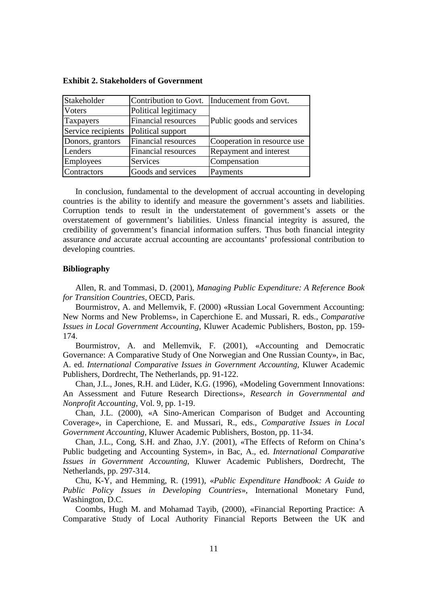| Stakeholder        | Contribution to Govt.      | Inducement from Govt.       |
|--------------------|----------------------------|-----------------------------|
| <b>V</b> oters     | Political legitimacy       |                             |
| Taxpayers          | Financial resources        | Public goods and services   |
| Service recipients | Political support          |                             |
| Donors, grantors   | <b>Financial resources</b> | Cooperation in resource use |
| Lenders            | <b>Financial resources</b> | Repayment and interest      |
| <b>Employees</b>   | Services                   | Compensation                |
| Contractors        | Goods and services         | Payments                    |

 **Exhibit 2. Stakeholders of Government** 

 In conclusion, fundamental to the development of accrual accounting in developing countries is the ability to identify and measure the government's assets and liabilities. Corruption tends to result in the understatement of government's assets or the overstatement of government's liabilities. Unless financial integrity is assured, the credibility of government's financial information suffers. Thus both financial integrity assurance *and* accurate accrual accounting are accountants' professional contribution to developing countries.

### **Bibliography**

 Allen, R. and Tommasi, D. (2001), *Managing Public Expenditure: A Reference Book for Transition Countries,* OECD, Paris.

 Bourmistrov, A. and Mellemvik, F. (2000) «Russian Local Government Accounting: New Norms and New Problems», in Caperchione E. and Mussari, R. eds., *Comparative Issues in Local Government Accounting,* Kluwer Academic Publishers, Boston, pp. 159- 174.

 Bourmistrov, A. and Mellemvik, F. (2001), «Accounting and Democratic Governance: A Comparative Study of One Norwegian and One Russian County», in Bac, A. ed. *International Comparative Issues in Government Accounting,* Kluwer Academic Publishers, Dordrecht, The Netherlands, pp. 91-122.

 Chan, J.L., Jones, R.H. and Lüder, K.G. (1996), «Modeling Government Innovations: An Assessment and Future Research Directions», *Research in Governmental and Nonprofit Accounting,* Vol. 9, pp. 1-19.

 Chan, J.L. (2000), «A Sino-American Comparison of Budget and Accounting Coverage», in Caperchione, E. and Mussari, R., eds., *Comparative Issues in Local Government Accounting,* Kluwer Academic Publishers, Boston, pp. 11-34.

 Chan, J.L., Cong, S.H. and Zhao, J.Y. (2001), «The Effects of Reform on China's Public budgeting and Accounting System», in Bac, A., ed. *International Comparative Issues in Government Accounting*, Kluwer Academic Publishers, Dordrecht, The Netherlands, pp. 297-314.

 Chu, K-Y, and Hemming, R. (1991), «*Public Expenditure Handbook: A Guide to Public Policy Issues in Developing Countries*», International Monetary Fund, Washington, D.C.

 Coombs, Hugh M. and Mohamad Tayib, (2000), «Financial Reporting Practice: A Comparative Study of Local Authority Financial Reports Between the UK and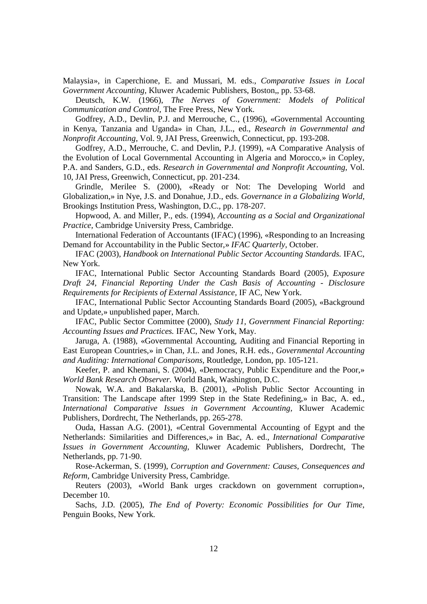Malaysia», in Caperchione, E. and Mussari, M. eds., *Comparative Issues in Local Government Accounting,* Kluwer Academic Publishers, Boston,, pp. 53-68.

 Deutsch, K.W. (1966), *The Nerves of Government: Models of Political Communication and Control,* The Free Press, New York.

 Godfrey, A.D., Devlin, P.J. and Merrouche, C., (1996), «Governmental Accounting in Kenya, Tanzania and Uganda» in Chan, J.L., ed., *Research in Governmental and Nonprofit Accounting,* Vol. 9, JAI Press, Greenwich, Connecticut, pp. 193-208.

 Godfrey, A.D., Merrouche, C. and Devlin, P.J. (1999), «A Comparative Analysis of the Evolution of Local Governmental Accounting in Algeria and Morocco,» in Copley, P.A. and Sanders, G.D., eds. *Research in Governmental and Nonprofit Accounting,* Vol. 10, JAI Press, Greenwich, Connecticut, pp. 201-234.

 Grindle, Merilee S. (2000), «Ready or Not: The Developing World and Globalization,» in Nye, J.S. and Donahue, J.D., eds. *Governance in a Globalizing World,*  Brookings Institution Press, Washington, D.C., pp. 178-207.

 Hopwood, A. and Miller, P., eds. (1994), *Accounting as a Social and Organizational Practice,* Cambridge University Press, Cambridge.

 International Federation of Accountants (IFAC) (1996), «Responding to an Increasing Demand for Accountability in the Public Sector,» *IFAC Quarterly,* October.

IFAC (2003), *Handbook on International Public Sector Accounting Standards.* IFAC, New York.

 IFAC, International Public Sector Accounting Standards Board (2005), *Exposure Draft 24, Financial Reporting Under the Cash Basis of Accounting - Disclosure Requirements for Recipients of External Assistance,* IF AC, New York.

 IFAC, International Public Sector Accounting Standards Board (2005), «Background and Update,» unpublished paper, March.

 IFAC, Public Sector Committee (2000), *Study 11, Government Financial Reporting: Accounting Issues and Practices.* IFAC, New York, May.

 Jaruga, A. (1988), «Governmental Accounting, Auditing and Financial Reporting in East European Countries,» in Chan, J.L. and Jones, R.H. eds., *Governmental Accounting and Auditing: International Comparisons,* Routledge, London, pp. 105-121.

 Keefer, P. and Khemani, S. (2004), «Democracy, Public Expenditure and the Poor,»  *World Bank Research Observer.* World Bank, Washington, D.C.

 Nowak, W.A. and Bakalarska, B. (2001), «Polish Public Sector Accounting in Transition: The Landscape after 1999 Step in the State Redefining,» in Bac, A. ed.,  *International Comparative Issues in Government Accounting,* Kluwer Academic Publishers, Dordrecht, The Netherlands, pp. 265-278.

 Ouda, Hassan A.G. (2001), «Central Governmental Accounting of Egypt and the Netherlands: Similarities and Differences,» in Bac, A. ed., *International Comparative Issues in Government Accounting,* Kluwer Academic Publishers, Dordrecht, The Netherlands, pp. 71-90.

 Rose-Ackerman, S. (1999), *Corruption and Government: Causes, Consequences and Reform,* Cambridge University Press, Cambridge.

 Reuters (2003), «World Bank urges crackdown on government corruption», December 10.

 Sachs, J.D. (2005), *The End of Poverty: Economic Possibilities for Our Time,*  Penguin Books, New York.